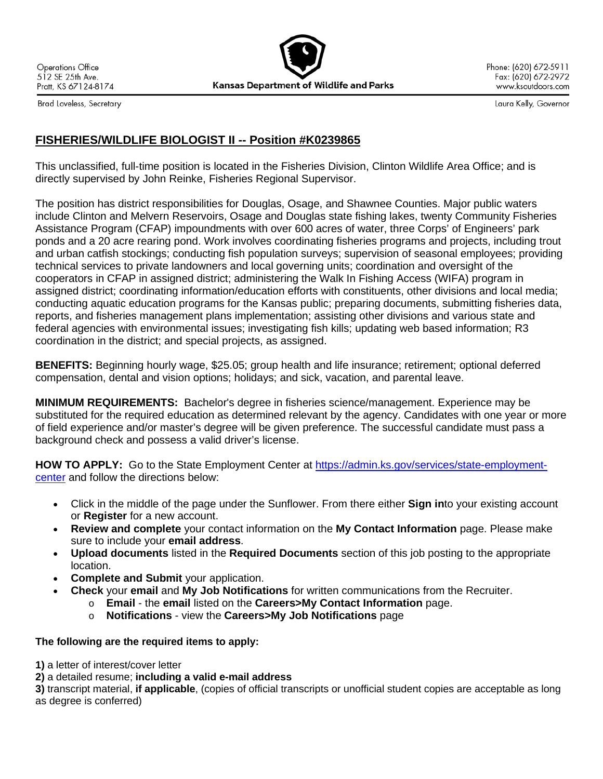**Operations Office** 512 SE 25th Ave. Pratt, KS 67124-8174 **Kansas Department of Wildlife and Parks** 

Phone: (620) 672-5911 Fax: (620) 672-2972 www.ksoutdoors.com

Brad Loveless, Secretary

Laura Kelly, Governor

## **FISHERIES/WILDLIFE BIOLOGIST II -- Position #K0239865**

This unclassified, full-time position is located in the Fisheries Division, Clinton Wildlife Area Office; and is directly supervised by John Reinke, Fisheries Regional Supervisor.

The position has district responsibilities for Douglas, Osage, and Shawnee Counties. Major public waters include Clinton and Melvern Reservoirs, Osage and Douglas state fishing lakes, twenty Community Fisheries Assistance Program (CFAP) impoundments with over 600 acres of water, three Corps' of Engineers' park ponds and a 20 acre rearing pond. Work involves coordinating fisheries programs and projects, including trout and urban catfish stockings; conducting fish population surveys; supervision of seasonal employees; providing technical services to private landowners and local governing units; coordination and oversight of the cooperators in CFAP in assigned district; administering the Walk In Fishing Access (WIFA) program in assigned district; coordinating information/education efforts with constituents, other divisions and local media; conducting aquatic education programs for the Kansas public; preparing documents, submitting fisheries data, reports, and fisheries management plans implementation; assisting other divisions and various state and federal agencies with environmental issues; investigating fish kills; updating web based information; R3 coordination in the district; and special projects, as assigned.

**BENEFITS:** Beginning hourly wage, \$25.05; group health and life insurance; retirement; optional deferred compensation, dental and vision options; holidays; and sick, vacation, and parental leave.

**MINIMUM REQUIREMENTS:** Bachelor's degree in fisheries science/management. Experience may be substituted for the required education as determined relevant by the agency. Candidates with one year or more of field experience and/or master's degree will be given preference. The successful candidate must pass a background check and possess a valid driver's license.

HOW TO APPLY: Go to the State Employment Center at [https://admin.ks.gov/services/state-employment](https://admin.ks.gov/services/state-employment-center)[center](https://admin.ks.gov/services/state-employment-center) and follow the directions below:

- Click in the middle of the page under the Sunflower. From there either **Sign in**to your existing account or **Register** for a new account.
- **Review and complete** your contact information on the **My Contact Information** page. Please make sure to include your **email address**.
- **Upload documents** listed in the **Required Documents** section of this job posting to the appropriate location.
- **Complete and Submit** your application.
- **Check** your **email** and **My Job Notifications** for written communications from the Recruiter.
	- o **Email** the **email** listed on the **Careers>My Contact Information** page.
	- o **Notifications** view the **Careers>My Job Notifications** page

## **The following are the required items to apply:**

**1)** a letter of interest/cover letter

**2)** a detailed resume; **including a valid e-mail address**

**3)** transcript material, **if applicable**, (copies of official transcripts or unofficial student copies are acceptable as long as degree is conferred)